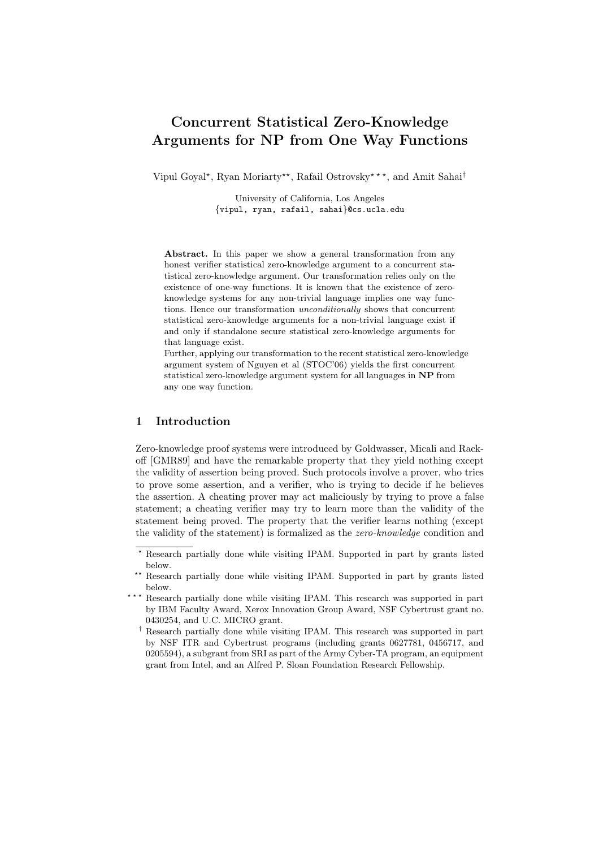# Concurrent Statistical Zero-Knowledge Arguments for NP from One Way Functions

Vipul Goyal\*, Ryan Moriarty\*\*, Rafail Ostrovsky\*\*\*, and Amit Sahai<sup>†</sup>

University of California, Los Angeles {vipul, ryan, rafail, sahai}@cs.ucla.edu

Abstract. In this paper we show a general transformation from any honest verifier statistical zero-knowledge argument to a concurrent statistical zero-knowledge argument. Our transformation relies only on the existence of one-way functions. It is known that the existence of zeroknowledge systems for any non-trivial language implies one way functions. Hence our transformation unconditionally shows that concurrent statistical zero-knowledge arguments for a non-trivial language exist if and only if standalone secure statistical zero-knowledge arguments for that language exist.

Further, applying our transformation to the recent statistical zero-knowledge argument system of Nguyen et al (STOC'06) yields the first concurrent statistical zero-knowledge argument system for all languages in NP from any one way function.

# 1 Introduction

Zero-knowledge proof systems were introduced by Goldwasser, Micali and Rackoff [GMR89] and have the remarkable property that they yield nothing except the validity of assertion being proved. Such protocols involve a prover, who tries to prove some assertion, and a verifier, who is trying to decide if he believes the assertion. A cheating prover may act maliciously by trying to prove a false statement; a cheating verifier may try to learn more than the validity of the statement being proved. The property that the verifier learns nothing (except the validity of the statement) is formalized as the zero-knowledge condition and

<sup>?</sup> Research partially done while visiting IPAM. Supported in part by grants listed below.

<sup>\*\*</sup> Research partially done while visiting IPAM. Supported in part by grants listed below.

<sup>\*\*\*</sup> Research partially done while visiting IPAM. This research was supported in part by IBM Faculty Award, Xerox Innovation Group Award, NSF Cybertrust grant no. 0430254, and U.C. MICRO grant.

<sup>†</sup> Research partially done while visiting IPAM. This research was supported in part by NSF ITR and Cybertrust programs (including grants 0627781, 0456717, and 0205594), a subgrant from SRI as part of the Army Cyber-TA program, an equipment grant from Intel, and an Alfred P. Sloan Foundation Research Fellowship.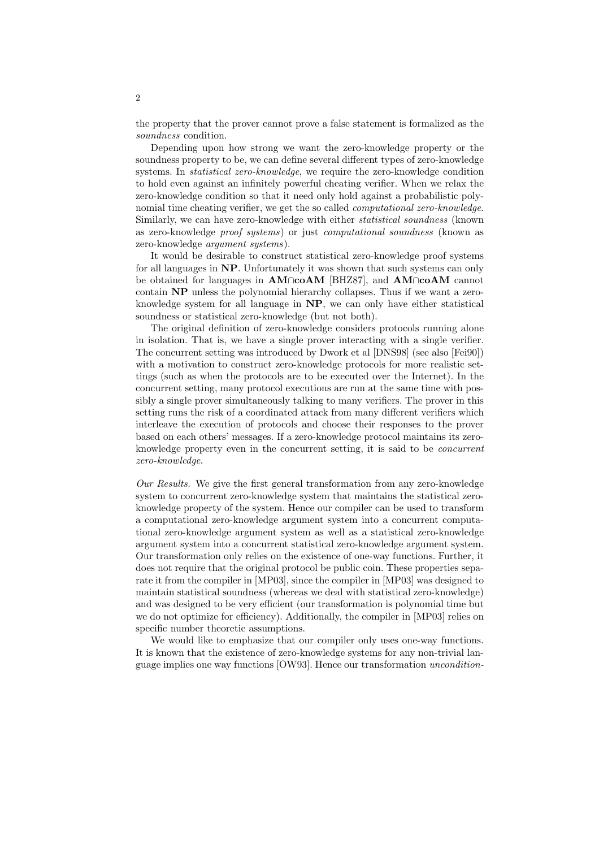the property that the prover cannot prove a false statement is formalized as the soundness condition.

Depending upon how strong we want the zero-knowledge property or the soundness property to be, we can define several different types of zero-knowledge systems. In statistical zero-knowledge, we require the zero-knowledge condition to hold even against an infinitely powerful cheating verifier. When we relax the zero-knowledge condition so that it need only hold against a probabilistic polynomial time cheating verifier, we get the so called *computational zero-knowledge*. Similarly, we can have zero-knowledge with either statistical soundness (known as zero-knowledge proof systems) or just computational soundness (known as zero-knowledge argument systems).

It would be desirable to construct statistical zero-knowledge proof systems for all languages in NP. Unfortunately it was shown that such systems can only be obtained for languages in AM∩coAM [BHZ87], and AM∩coAM cannot contain NP unless the polynomial hierarchy collapses. Thus if we want a zeroknowledge system for all language in NP, we can only have either statistical soundness or statistical zero-knowledge (but not both).

The original definition of zero-knowledge considers protocols running alone in isolation. That is, we have a single prover interacting with a single verifier. The concurrent setting was introduced by Dwork et al [DNS98] (see also [Fei90]) with a motivation to construct zero-knowledge protocols for more realistic settings (such as when the protocols are to be executed over the Internet). In the concurrent setting, many protocol executions are run at the same time with possibly a single prover simultaneously talking to many verifiers. The prover in this setting runs the risk of a coordinated attack from many different verifiers which interleave the execution of protocols and choose their responses to the prover based on each others' messages. If a zero-knowledge protocol maintains its zeroknowledge property even in the concurrent setting, it is said to be concurrent zero-knowledge.

Our Results. We give the first general transformation from any zero-knowledge system to concurrent zero-knowledge system that maintains the statistical zeroknowledge property of the system. Hence our compiler can be used to transform a computational zero-knowledge argument system into a concurrent computational zero-knowledge argument system as well as a statistical zero-knowledge argument system into a concurrent statistical zero-knowledge argument system. Our transformation only relies on the existence of one-way functions. Further, it does not require that the original protocol be public coin. These properties separate it from the compiler in [MP03], since the compiler in [MP03] was designed to maintain statistical soundness (whereas we deal with statistical zero-knowledge) and was designed to be very efficient (our transformation is polynomial time but we do not optimize for efficiency). Additionally, the compiler in [MP03] relies on specific number theoretic assumptions.

We would like to emphasize that our compiler only uses one-way functions. It is known that the existence of zero-knowledge systems for any non-trivial language implies one way functions [OW93]. Hence our transformation uncondition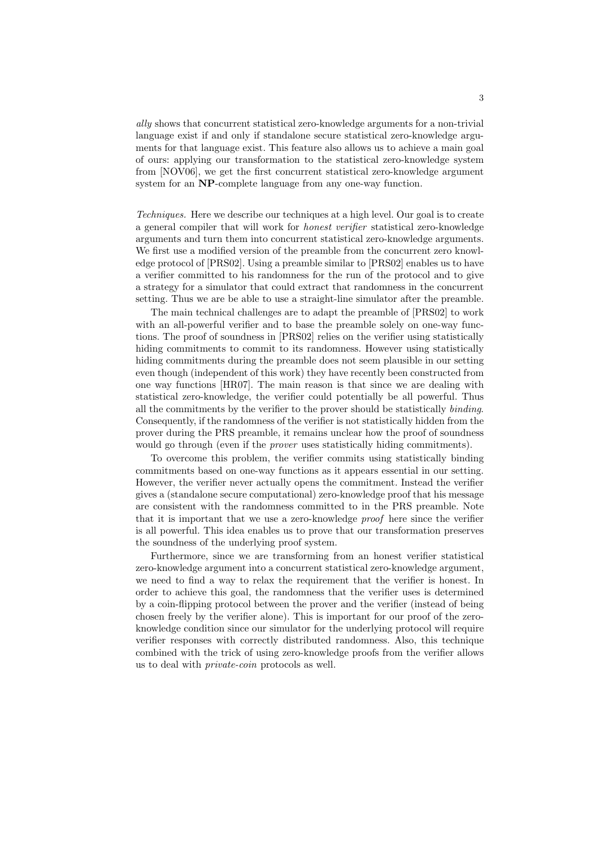ally shows that concurrent statistical zero-knowledge arguments for a non-trivial language exist if and only if standalone secure statistical zero-knowledge arguments for that language exist. This feature also allows us to achieve a main goal of ours: applying our transformation to the statistical zero-knowledge system from [NOV06], we get the first concurrent statistical zero-knowledge argument system for an NP-complete language from any one-way function.

Techniques. Here we describe our techniques at a high level. Our goal is to create a general compiler that will work for honest verifier statistical zero-knowledge arguments and turn them into concurrent statistical zero-knowledge arguments. We first use a modified version of the preamble from the concurrent zero knowledge protocol of [PRS02]. Using a preamble similar to [PRS02] enables us to have a verifier committed to his randomness for the run of the protocol and to give a strategy for a simulator that could extract that randomness in the concurrent setting. Thus we are be able to use a straight-line simulator after the preamble.

The main technical challenges are to adapt the preamble of [PRS02] to work with an all-powerful verifier and to base the preamble solely on one-way functions. The proof of soundness in [PRS02] relies on the verifier using statistically hiding commitments to commit to its randomness. However using statistically hiding commitments during the preamble does not seem plausible in our setting even though (independent of this work) they have recently been constructed from one way functions [HR07]. The main reason is that since we are dealing with statistical zero-knowledge, the verifier could potentially be all powerful. Thus all the commitments by the verifier to the prover should be statistically binding. Consequently, if the randomness of the verifier is not statistically hidden from the prover during the PRS preamble, it remains unclear how the proof of soundness would go through (even if the *prover* uses statistically hiding commitments).

To overcome this problem, the verifier commits using statistically binding commitments based on one-way functions as it appears essential in our setting. However, the verifier never actually opens the commitment. Instead the verifier gives a (standalone secure computational) zero-knowledge proof that his message are consistent with the randomness committed to in the PRS preamble. Note that it is important that we use a zero-knowledge proof here since the verifier is all powerful. This idea enables us to prove that our transformation preserves the soundness of the underlying proof system.

Furthermore, since we are transforming from an honest verifier statistical zero-knowledge argument into a concurrent statistical zero-knowledge argument, we need to find a way to relax the requirement that the verifier is honest. In order to achieve this goal, the randomness that the verifier uses is determined by a coin-flipping protocol between the prover and the verifier (instead of being chosen freely by the verifier alone). This is important for our proof of the zeroknowledge condition since our simulator for the underlying protocol will require verifier responses with correctly distributed randomness. Also, this technique combined with the trick of using zero-knowledge proofs from the verifier allows us to deal with private-coin protocols as well.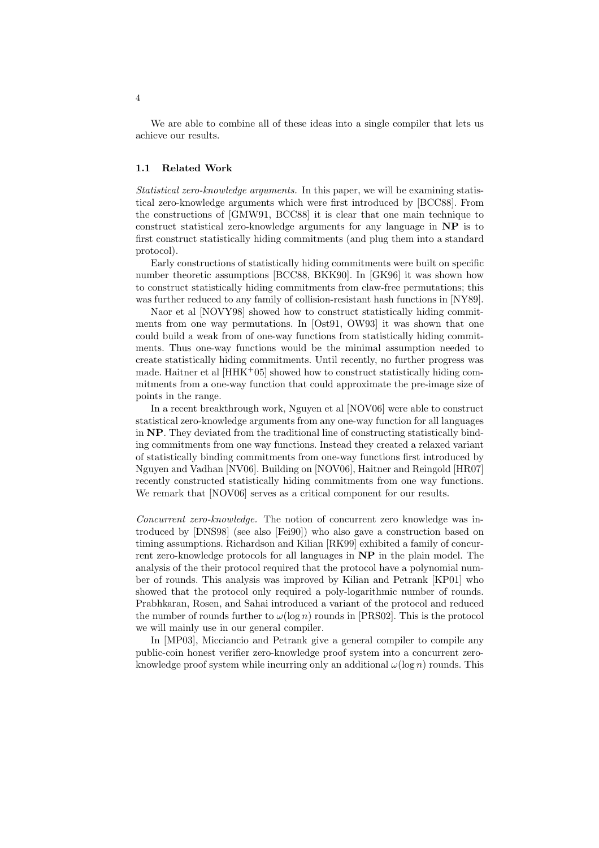We are able to combine all of these ideas into a single compiler that lets us achieve our results.

#### 1.1 Related Work

Statistical zero-knowledge arguments. In this paper, we will be examining statistical zero-knowledge arguments which were first introduced by [BCC88]. From the constructions of [GMW91, BCC88] it is clear that one main technique to construct statistical zero-knowledge arguments for any language in NP is to first construct statistically hiding commitments (and plug them into a standard protocol).

Early constructions of statistically hiding commitments were built on specific number theoretic assumptions [BCC88, BKK90]. In [GK96] it was shown how to construct statistically hiding commitments from claw-free permutations; this was further reduced to any family of collision-resistant hash functions in [NY89].

Naor et al [NOVY98] showed how to construct statistically hiding commitments from one way permutations. In [Ost91, OW93] it was shown that one could build a weak from of one-way functions from statistically hiding commitments. Thus one-way functions would be the minimal assumption needed to create statistically hiding commitments. Until recently, no further progress was made. Haitner et al  $[HHK^+05]$  showed how to construct statistically hiding commitments from a one-way function that could approximate the pre-image size of points in the range.

In a recent breakthrough work, Nguyen et al [NOV06] were able to construct statistical zero-knowledge arguments from any one-way function for all languages in NP. They deviated from the traditional line of constructing statistically binding commitments from one way functions. Instead they created a relaxed variant of statistically binding commitments from one-way functions first introduced by Nguyen and Vadhan [NV06]. Building on [NOV06], Haitner and Reingold [HR07] recently constructed statistically hiding commitments from one way functions. We remark that [NOV06] serves as a critical component for our results.

Concurrent zero-knowledge. The notion of concurrent zero knowledge was introduced by [DNS98] (see also [Fei90]) who also gave a construction based on timing assumptions. Richardson and Kilian [RK99] exhibited a family of concurrent zero-knowledge protocols for all languages in NP in the plain model. The analysis of the their protocol required that the protocol have a polynomial number of rounds. This analysis was improved by Kilian and Petrank [KP01] who showed that the protocol only required a poly-logarithmic number of rounds. Prabhkaran, Rosen, and Sahai introduced a variant of the protocol and reduced the number of rounds further to  $\omega(\log n)$  rounds in [PRS02]. This is the protocol we will mainly use in our general compiler.

In [MP03], Micciancio and Petrank give a general compiler to compile any public-coin honest verifier zero-knowledge proof system into a concurrent zeroknowledge proof system while incurring only an additional  $\omega(\log n)$  rounds. This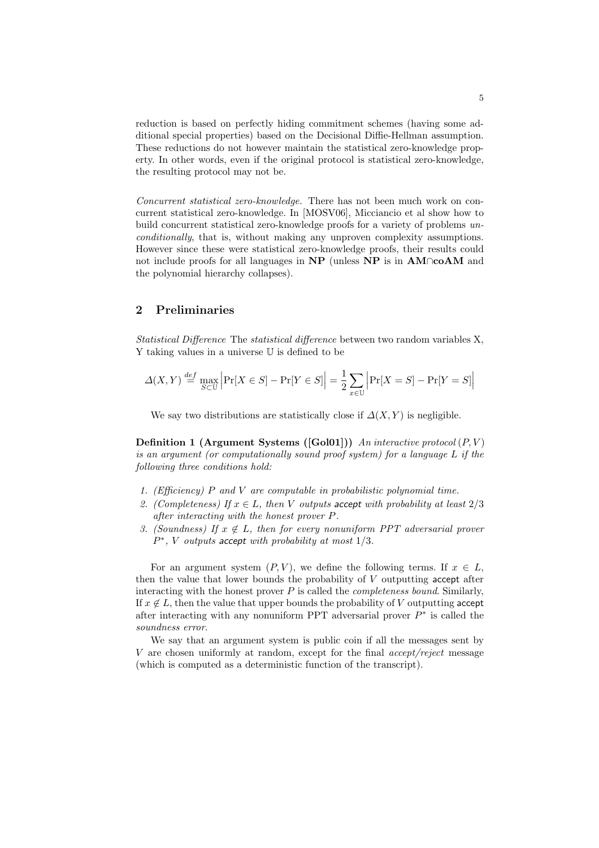reduction is based on perfectly hiding commitment schemes (having some additional special properties) based on the Decisional Diffie-Hellman assumption. These reductions do not however maintain the statistical zero-knowledge property. In other words, even if the original protocol is statistical zero-knowledge, the resulting protocol may not be.

Concurrent statistical zero-knowledge. There has not been much work on concurrent statistical zero-knowledge. In [MOSV06], Micciancio et al show how to build concurrent statistical zero-knowledge proofs for a variety of problems unconditionally, that is, without making any unproven complexity assumptions. However since these were statistical zero-knowledge proofs, their results could not include proofs for all languages in NP (unless NP is in AM∩coAM and the polynomial hierarchy collapses).

# 2 Preliminaries

Statistical Difference The statistical difference between two random variables X, Y taking values in a universe U is defined to be

$$
\Delta(X,Y) \stackrel{def}{=} \max_{S \subset \mathbb{U}} \left| \Pr[X \in S] - \Pr[Y \in S] \right| = \frac{1}{2} \sum_{x \in \mathbb{U}} \left| \Pr[X = S] - \Pr[Y = S] \right|
$$

We say two distributions are statistically close if  $\Delta(X, Y)$  is negligible.

**Definition 1 (Argument Systems ([Gol01]))** An interactive protocol  $(P, V)$ is an argument (or computationally sound proof system) for a language L if the following three conditions hold:

- 1. (Efficiency) P and V are computable in probabilistic polynomial time.
- 2. (Completeness) If  $x \in L$ , then V outputs accept with probability at least  $2/3$ after interacting with the honest prover P.
- 3. (Soundness) If  $x \notin L$ , then for every nonuniform PPT adversarial prover  $P^*$ , V outputs accept with probability at most  $1/3$ .

For an argument system  $(P, V)$ , we define the following terms. If  $x \in L$ , then the value that lower bounds the probability of  $V$  outputting accept after interacting with the honest prover  $P$  is called the *completeness bound*. Similarly, If  $x \notin L$ , then the value that upper bounds the probability of V outputting accept after interacting with any nonuniform PPT adversarial prover  $P^*$  is called the soundness error.

We say that an argument system is public coin if all the messages sent by V are chosen uniformly at random, except for the final  $accept/reject$  message (which is computed as a deterministic function of the transcript).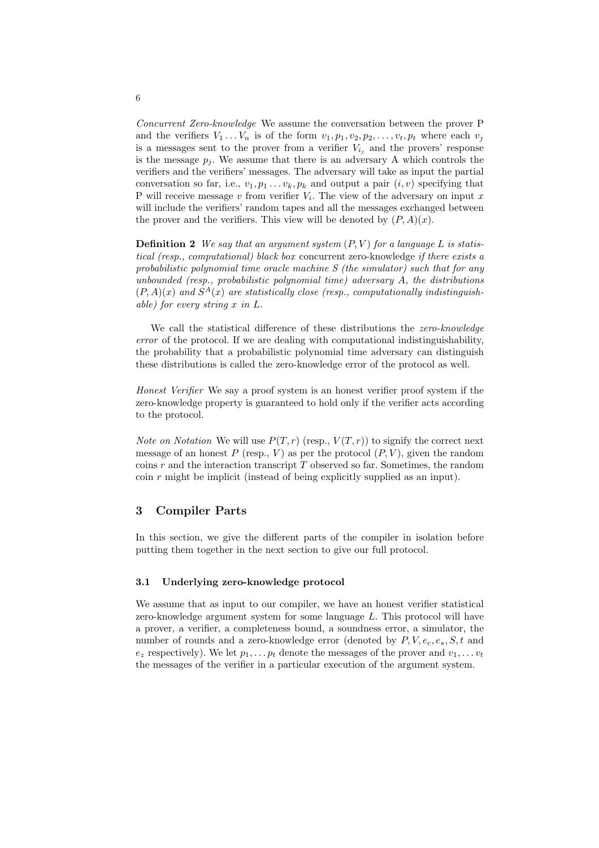Concurrent Zero-knowledge We assume the conversation between the prover P and the verifiers  $V_1 \ldots V_n$  is of the form  $v_1, p_1, v_2, p_2, \ldots, v_t, p_t$  where each  $v_j$ is a messages sent to the prover from a verifier  $V_{i_j}$  and the provers' response is the message  $p_i$ . We assume that there is an adversary A which controls the verifiers and the verifiers' messages. The adversary will take as input the partial conversation so far, i.e.,  $v_1, p_1 \ldots v_k, p_k$  and output a pair  $(i, v)$  specifying that P will receive message  $v$  from verifier  $V_i$ . The view of the adversary on input  $x$ will include the verifiers' random tapes and all the messages exchanged between the prover and the verifiers. This view will be denoted by  $(P, A)(x)$ .

**Definition 2** We say that an argument system  $(P, V)$  for a language L is statistical (resp., computational) black box concurrent zero-knowledge if there exists a probabilistic polynomial time oracle machine S (the simulator) such that for any unbounded (resp., probabilistic polynomial time) adversary A, the distributions  $(P, A)(x)$  and  $S<sup>A</sup>(x)$  are statistically close (resp., computationally indistinguishable) for every string x in L.

We call the statistical difference of these distributions the *zero-knowledge* error of the protocol. If we are dealing with computational indistinguishability, the probability that a probabilistic polynomial time adversary can distinguish these distributions is called the zero-knowledge error of the protocol as well.

Honest Verifier We say a proof system is an honest verifier proof system if the zero-knowledge property is guaranteed to hold only if the verifier acts according to the protocol.

*Note on Notation* We will use  $P(T, r)$  (resp.,  $V(T, r)$ ) to signify the correct next message of an honest  $P$  (resp.,  $V$ ) as per the protocol  $(P, V)$ , given the random coins r and the interaction transcript T observed so far. Sometimes, the random coin r might be implicit (instead of being explicitly supplied as an input).

# 3 Compiler Parts

In this section, we give the different parts of the compiler in isolation before putting them together in the next section to give our full protocol.

## 3.1 Underlying zero-knowledge protocol

We assume that as input to our compiler, we have an honest verifier statistical zero-knowledge argument system for some language L. This protocol will have a prover, a verifier, a completeness bound, a soundness error, a simulator, the number of rounds and a zero-knowledge error (denoted by  $P, V, e_c, e_s, S, t$  and  $e_z$  respectively). We let  $p_1, \ldots, p_t$  denote the messages of the prover and  $v_1, \ldots, v_t$ the messages of the verifier in a particular execution of the argument system.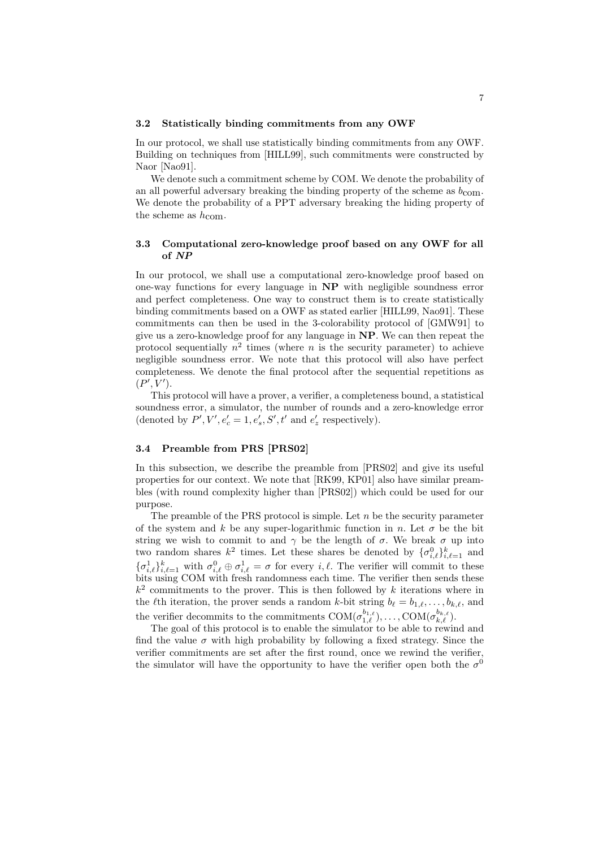#### 3.2 Statistically binding commitments from any OWF

In our protocol, we shall use statistically binding commitments from any OWF. Building on techniques from [HILL99], such commitments were constructed by Naor [Nao91].

We denote such a commitment scheme by COM. We denote the probability of an all powerful adversary breaking the binding property of the scheme as  $b_{\text{com}}$ . We denote the probability of a PPT adversary breaking the hiding property of the scheme as  $h_{\text{com}}$ .

## 3.3 Computational zero-knowledge proof based on any OWF for all of NP

In our protocol, we shall use a computational zero-knowledge proof based on one-way functions for every language in  $NP$  with negligible soundness error and perfect completeness. One way to construct them is to create statistically binding commitments based on a OWF as stated earlier [HILL99, Nao91]. These commitments can then be used in the 3-colorability protocol of [GMW91] to give us a zero-knowledge proof for any language in NP. We can then repeat the protocol sequentially  $n^2$  times (where n is the security parameter) to achieve negligible soundness error. We note that this protocol will also have perfect completeness. We denote the final protocol after the sequential repetitions as  $(P', V').$ 

This protocol will have a prover, a verifier, a completeness bound, a statistical soundness error, a simulator, the number of rounds and a zero-knowledge error (denoted by  $P', V', e'_c = 1, e'_s, S', t'$  and  $e'_z$  respectively).

# 3.4 Preamble from PRS [PRS02]

In this subsection, we describe the preamble from [PRS02] and give its useful properties for our context. We note that [RK99, KP01] also have similar preambles (with round complexity higher than [PRS02]) which could be used for our purpose.

The preamble of the PRS protocol is simple. Let  $n$  be the security parameter of the system and k be any super-logarithmic function in n. Let  $\sigma$  be the bit string we wish to commit to and  $\gamma$  be the length of  $\sigma$ . We break  $\sigma$  up into two random shares  $k^2$  times. Let these shares be denoted by  $\{\sigma_{i,\ell}^0\}_{i,\ell=1}^k$  and  ${\{\sigma_{i,\ell}^1\}_{i,\ell=1}^k}$  with  $\sigma_{i,\ell}^0 \oplus \sigma_{i,\ell}^1 = \sigma$  for every  $i,\ell$ . The verifier will commit to these bits using COM with fresh randomness each time. The verifier then sends these  $k^2$  commitments to the prover. This is then followed by k iterations where in the  $\ell$ th iteration, the prover sends a random k-bit string  $b_{\ell} = b_{1,\ell}, \ldots, b_{k,\ell}$ , and the verifier decommits to the commitments  $COM(\sigma_{1,\ell}^{b_{1,\ell}}), \ldots, COM(\sigma_{k,\ell}^{b_{k,\ell}})$ .

The goal of this protocol is to enable the simulator to be able to rewind and find the value  $\sigma$  with high probability by following a fixed strategy. Since the verifier commitments are set after the first round, once we rewind the verifier, the simulator will have the opportunity to have the verifier open both the  $\sigma^0$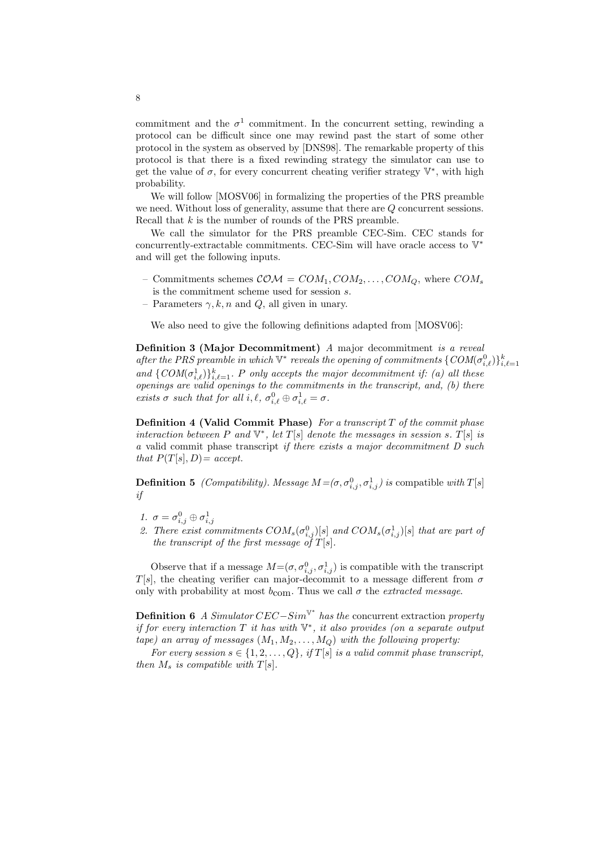commitment and the  $\sigma^1$  commitment. In the concurrent setting, rewinding a protocol can be difficult since one may rewind past the start of some other protocol in the system as observed by [DNS98]. The remarkable property of this protocol is that there is a fixed rewinding strategy the simulator can use to get the value of  $\sigma$ , for every concurrent cheating verifier strategy  $\mathbb{V}^*$ , with high probability.

We will follow [MOSV06] in formalizing the properties of the PRS preamble we need. Without loss of generality, assume that there are Q concurrent sessions. Recall that  $k$  is the number of rounds of the PRS preamble.

We call the simulator for the PRS preamble CEC-Sim. CEC stands for concurrently-extractable commitments. CEC-Sim will have oracle access to  $\mathbb{V}^*$ and will get the following inputs.

- Commitments schemes  $\mathcal{COM} = \mathcal{COM}_1, \mathcal{COM}_2, \ldots, \mathcal{COM}_Q,$  where  $\mathcal{COM}_s$ is the commitment scheme used for session s.
- Parameters  $\gamma, k, n$  and Q, all given in unary.

We also need to give the following definitions adapted from [MOSV06]:

Definition 3 (Major Decommitment) A major decommitment is a reveal after the PRS preamble in which  $\mathbb{V}^*$  reveals the opening of commitments  $\{COM(\sigma_{i,\ell}^0)\}_{i,\ell=1}^k$ and  $\{COM(\sigma_{i,\ell}^1)\}_{i,\ell=1}^k$ . P only accepts the major decommitment if: (a) all these openings are valid openings to the commitments in the transcript, and, (b) there exists  $\sigma$  such that for all  $i, \ell, \sigma_{i,\ell}^0 \oplus \sigma_{i,\ell}^1 = \sigma$ .

**Definition 4 (Valid Commit Phase)** For a transcript  $T$  of the commit phase interaction between P and  $\mathbb{V}^*$ , let  $T[s]$  denote the messages in session s.  $T[s]$  is a valid commit phase transcript if there exists a major decommitment D such that  $P(T[s], D) = accept.$ 

**Definition 5** (Compatibility). Message  $M = (\sigma, \sigma_{i,j}^0, \sigma_{i,j}^1)$  is compatible with  $T[s]$ if

- 1.  $\sigma = \sigma_{i,j}^0 \oplus \sigma_{i,j}^1$
- 2. There exist commitments  $COM_s(\sigma_{i,j}^0)[s]$  and  $COM_s(\sigma_{i,j}^1)[s]$  that are part of the transcript of the first message of  $T[s]$ .

Observe that if a message  $M = (\sigma, \sigma_{i,j}^0, \sigma_{i,j}^1)$  is compatible with the transcript  $T[s]$ , the cheating verifier can major-decommit to a message different from  $\sigma$ only with probability at most  $b_{\text{com}}$ . Thus we call  $\sigma$  the *extracted message*.

**Definition 6** A Simulator  $CEC-Sim<sup>W*</sup>$  has the concurrent extraction property if for every interaction T it has with  $\mathbb{V}^*$ , it also provides (on a separate output tape) an array of messages  $(M_1, M_2, \ldots, M_Q)$  with the following property:

For every session  $s \in \{1, 2, ..., Q\}$ , if  $T[s]$  is a valid commit phase transcript, then  $M_s$  is compatible with  $T[s]$ .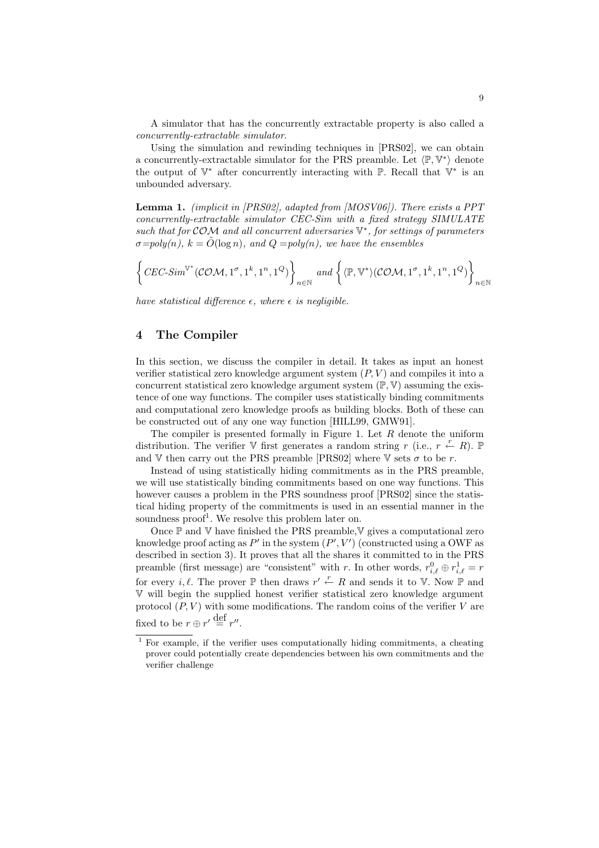A simulator that has the concurrently extractable property is also called a concurrently-extractable simulator.

Using the simulation and rewinding techniques in [PRS02], we can obtain a concurrently-extractable simulator for the PRS preamble. Let  $\langle \mathbb{P}, \mathbb{V}^* \rangle$  denote the output of  $\mathbb{V}^*$  after concurrently interacting with  $\mathbb{P}$ . Recall that  $\mathbb{V}^*$  is an unbounded adversary.

Lemma 1. (implicit in [PRS02], adapted from [MOSV06]). There exists a PPT concurrently-extractable simulator CEC-Sim with a fixed strategy SIMULATE such that for  $COM$  and all concurrent adversaries  $\mathbb{V}^*$ , for settings of parameters  $\sigma = poly(n)$ ,  $k = \tilde{O}(\log n)$ , and  $Q = poly(n)$ , we have the ensembles

$$
\bigg\{\textit{CEC-Sim}^{\mathbb V^*}(\mathcal{COM},1^\sigma,1^k,1^n,1^Q)\bigg\}_{n\in\mathbb N} \textit{ and } \bigg\{\langle \mathbb P,\mathbb V^*\rangle(\mathcal{COM},1^\sigma,1^k,1^n,1^Q)\bigg\}_{n\in\mathbb N}
$$

have statistical difference  $\epsilon$ , where  $\epsilon$  is negligible.

# 4 The Compiler

In this section, we discuss the compiler in detail. It takes as input an honest verifier statistical zero knowledge argument system  $(P, V)$  and compiles it into a concurrent statistical zero knowledge argument system  $(\mathbb{P}, \mathbb{V})$  assuming the existence of one way functions. The compiler uses statistically binding commitments and computational zero knowledge proofs as building blocks. Both of these can be constructed out of any one way function [HILL99, GMW91].

The compiler is presented formally in Figure 1. Let  $R$  denote the uniform distribution. The verifier  $\mathbb V$  first generates a random string  $r$  (i.e.,  $r \leftarrow R$ ).  $\mathbb P$ and V then carry out the PRS preamble [PRS02] where V sets  $\sigma$  to be r.

Instead of using statistically hiding commitments as in the PRS preamble, we will use statistically binding commitments based on one way functions. This however causes a problem in the PRS soundness proof [PRS02] since the statistical hiding property of the commitments is used in an essential manner in the soundness proof<sup>1</sup>. We resolve this problem later on.

Once  $\mathbb P$  and  $\mathbb V$  have finished the PRS preamble,  $\mathbb V$  gives a computational zero knowledge proof acting as  $P'$  in the system  $(P', V')$  (constructed using a OWF as described in section 3). It proves that all the shares it committed to in the PRS preamble (first message) are "consistent" with r. In other words,  $r_{i,\ell}^0 \oplus r_{i,\ell}^1 = r$ for every *i*,  $\ell$ . The prover  $\mathbb P$  then draws  $r' \stackrel{r}{\leftarrow} R$  and sends it to V. Now  $\mathbb P$  and V will begin the supplied honest verifier statistical zero knowledge argument protocol  $(P, V)$  with some modifications. The random coins of the verifier V are fixed to be  $r \oplus r' \stackrel{\text{def}}{=} r''$ .

<sup>1</sup> For example, if the verifier uses computationally hiding commitments, a cheating prover could potentially create dependencies between his own commitments and the verifier challenge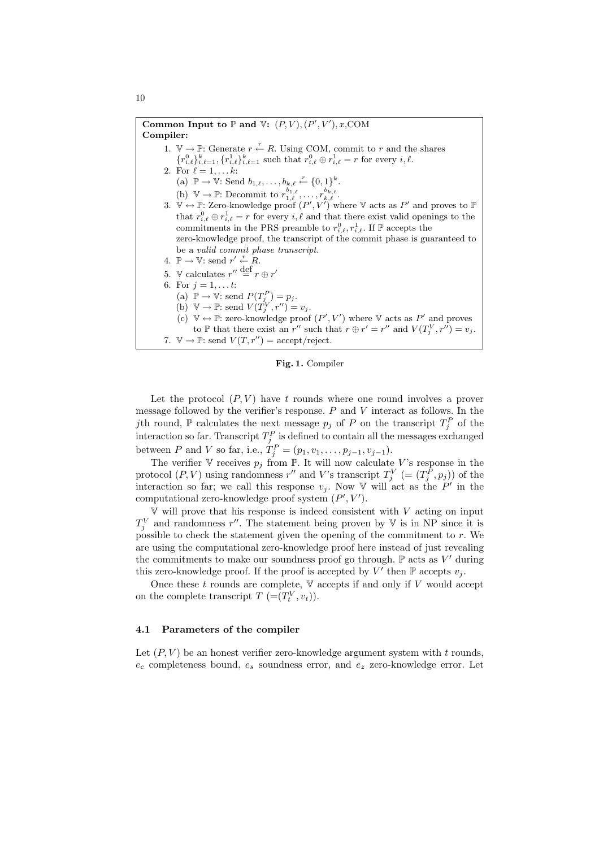Common Input to  $\mathbb P$  and  $\mathbb V$ :  $(P, V), (P', V'), x$ , COM Compiler: 1.  $\mathbb{V} \to \mathbb{P}$ : Generate  $r \stackrel{r}{\leftarrow} R$ . Using COM, commit to r and the shares  ${r_{i,\ell}}^0\}_{i,\ell=1}^k, {r_{i,\ell}}^1\}_{i,\ell=1}^k$  such that  $r_{i,\ell}^0 \oplus r_{i,\ell}^1 = r$  for every  $i,\ell$ . 2. For  $\ell = 1, \ldots k$ : (a)  $\mathbb{P} \to \mathbb{V}$ : Send  $b_{1,\ell}, \ldots, b_{k,\ell} \stackrel{r}{\leftarrow} \{0,1\}^k$ . (b)  $\mathbb{V} \to \mathbb{P}$ : Decommit to  $r_{1,\ell}^{b_{1,\ell}}, \ldots, r_{k,\ell}^{b_{k,\ell}}$ . 3.  $\mathbb{V} \leftrightarrow \mathbb{P}$ : Zero-knowledge proof  $(P', V')$  where  $\mathbb{V}$  acts as  $P'$  and proves to  $\mathbb{P}$ that  $r_{i,\ell}^0 \oplus r_{i,\ell}^1 = r$  for every  $i, \ell$  and that there exist valid openings to the commitments in the PRS preamble to  $r_{i,\ell}^0, r_{i,\ell}^1$ . If  $\mathbb P$  accepts the zero-knowledge proof, the transcript of the commit phase is guaranteed to be a valid commit phase transcript. 4.  $\mathbb{P} \to \mathbb{V}$ : send  $r' \stackrel{r}{\leftarrow} R$ . 5. V calculates  $r'' \stackrel{\text{def}}{=} r \oplus r'$ 6. For  $j = 1, \ldots t$ : (a)  $\mathbb{P} \to \mathbb{V}$ : send  $P(T_j^P) = p_j$ . (b)  $\mathbb{V} \to \mathbb{P}$ : send  $V(T_j^V, r'') = v_j$ . (c)  $\mathbb{V} \leftrightarrow \mathbb{P}$ : zero-knowledge proof  $(P', V')$  where  $\mathbb{V}$  acts as  $P'$  and proves to  $\mathbb P$  that there exist an r'' such that  $r \oplus r' = r''$  and  $V(T_j^V, r'') = v_j$ . 7.  $\mathbb{V} \to \mathbb{P}$ : send  $V(T, r'') = \text{accept/reject.}$ 

Fig. 1. Compiler

Let the protocol  $(P, V)$  have t rounds where one round involves a prover message followed by the verifier's response.  $P$  and  $V$  interact as follows. In the jth round,  $\mathbb P$  calculates the next message  $p_j$  of P on the transcript  $T_j^P$  of the interaction so far. Transcript  $T_j^P$  is defined to contain all the messages exchanged between P and V so far, i.e.,  $T_j^P = (p_1, v_1, \dots, p_{j-1}, v_{j-1}).$ 

The verifier V receives  $p_j$  from P. It will now calculate V's response in the protocol  $(P, V)$  using randomness r'' and V's transcript  $T_j^V$   $(=(T_j^P, p_j))$  of the interaction so far; we call this response  $v_j$ . Now  $\nabla$  will act as the P' in the computational zero-knowledge proof system  $(P', V')$ .

 $V$  will prove that his response is indeed consistent with  $V$  acting on input  $T_j^V$  and randomness r''. The statement being proven by V is in NP since it is possible to check the statement given the opening of the commitment to  $r$ . We are using the computational zero-knowledge proof here instead of just revealing the commitments to make our soundness proof go through.  $\mathbb P$  acts as  $V'$  during this zero-knowledge proof. If the proof is accepted by  $V'$  then  $\mathbb P$  accepts  $v_j$ .

Once these  $t$  rounds are complete,  $V$  accepts if and only if  $V$  would accept on the complete transcript  $T (= (T_t^V, v_t)).$ 

#### 4.1 Parameters of the compiler

Let  $(P, V)$  be an honest verifier zero-knowledge argument system with t rounds,  $e_c$  completeness bound,  $e_s$  soundness error, and  $e_z$  zero-knowledge error. Let

10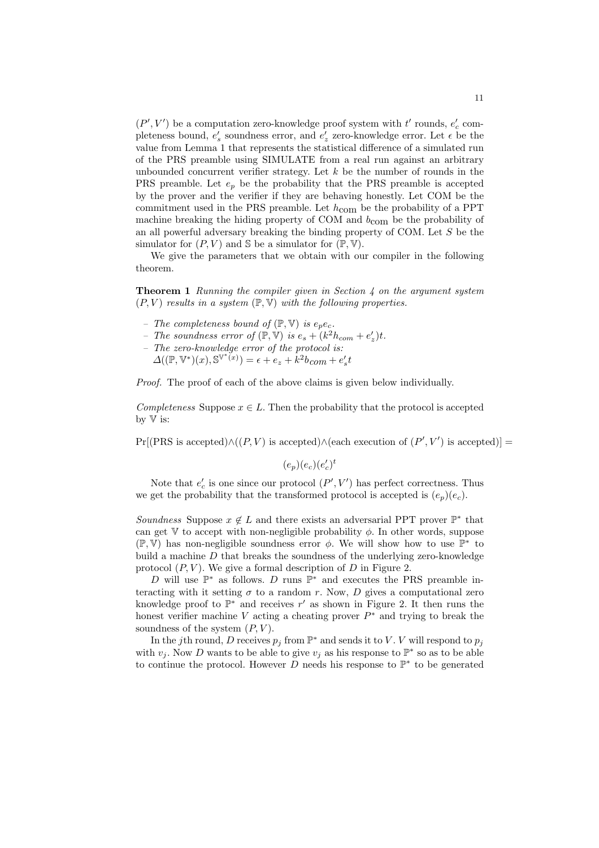$(P',V')$  be a computation zero-knowledge proof system with  $t'$  rounds,  $e_c'$  completeness bound,  $e_s'$  soundness error, and  $e_z'$  zero-knowledge error. Let  $\epsilon$  be the value from Lemma 1 that represents the statistical difference of a simulated run of the PRS preamble using SIMULATE from a real run against an arbitrary unbounded concurrent verifier strategy. Let  $k$  be the number of rounds in the PRS preamble. Let  $e_p$  be the probability that the PRS preamble is accepted by the prover and the verifier if they are behaving honestly. Let COM be the commitment used in the PRS preamble. Let  $h_{\text{com}}$  be the probability of a PPT machine breaking the hiding property of COM and  $b_{com}$  be the probability of an all powerful adversary breaking the binding property of COM. Let S be the simulator for  $(P, V)$  and S be a simulator for  $(\mathbb{P}, \mathbb{V})$ .

We give the parameters that we obtain with our compiler in the following theorem.

**Theorem 1** Running the compiler given in Section  $\lambda$  on the argument system  $(P, V)$  results in a system  $(\mathbb{P}, \mathbb{V})$  with the following properties.

- The completeness bound of  $(\mathbb{P}, \mathbb{V})$  is  $e_p e_c$ .
- The soundness error of  $(\mathbb{P}, \mathbb{V})$  is  $e_s + (k^2 h_{com} + e'_z)t$ .
- The zero-knowledge error of the protocol is:
- $\Delta((\mathbb{P}, \mathbb{V}^*)(x), \mathbb{S}^{\mathbb{V}^*(x)}) = \epsilon + e_z + k^2 b_{com} + e_s' t$

Proof. The proof of each of the above claims is given below individually.

Completeness Suppose  $x \in L$ . Then the probability that the protocol is accepted by  $V$  is:

 $Pr[(PRS is accepted) \land ((P, V) is accepted) \land (each execution of (P', V')) is accepted)] =$ 

$$
(e_p)(e_c)(e_c')^t
$$

Note that  $e'_{c}$  is one since our protocol  $(P', V')$  has perfect correctness. Thus we get the probability that the transformed protocol is accepted is  $(e_p)(e_c)$ .

Soundness Suppose  $x \notin L$  and there exists an adversarial PPT prover  $\mathbb{P}^*$  that can get V to accept with non-negligible probability  $\phi$ . In other words, suppose (P, V) has non-negligible soundness error  $\phi$ . We will show how to use  $\mathbb{P}^*$  to build a machine  $D$  that breaks the soundness of the underlying zero-knowledge protocol  $(P, V)$ . We give a formal description of D in Figure 2.

D will use  $\mathbb{P}^*$  as follows. D runs  $\mathbb{P}^*$  and executes the PRS preamble interacting with it setting  $\sigma$  to a random r. Now, D gives a computational zero knowledge proof to  $\mathbb{P}^*$  and receives r' as shown in Figure 2. It then runs the honest verifier machine V acting a cheating prover  $P^*$  and trying to break the soundness of the system  $(P, V)$ .

In the jth round, D receives  $p_j$  from  $\mathbb{P}^*$  and sends it to V. V will respond to  $p_j$ with  $v_j$ . Now D wants to be able to give  $v_j$  as his response to  $\mathbb{P}^*$  so as to be able to continue the protocol. However D needs his response to  $\mathbb{P}^*$  to be generated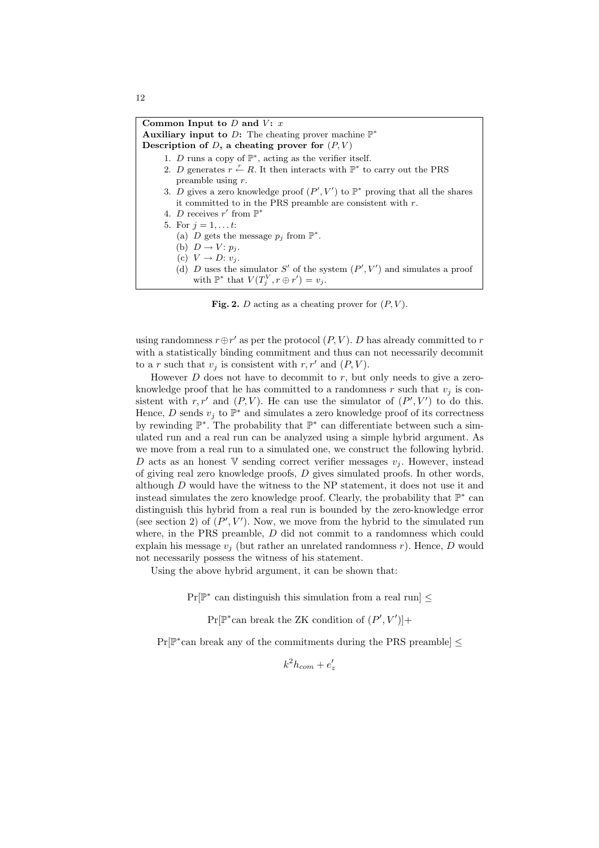| Common Input to $D$ and $V: x$                                                                             |
|------------------------------------------------------------------------------------------------------------|
| <b>Auxiliary input to </b> D: The cheating prover machine $\mathbb{P}^*$                                   |
| Description of $D$ , a cheating prover for $(P, V)$                                                        |
| 1. D runs a copy of $\mathbb{P}^*$ , acting as the verifier itself.                                        |
| 2. D generates $r \stackrel{r}{\leftarrow} R$ . It then interacts with $\mathbb{P}^*$ to carry out the PRS |
| preamble using $r$ .                                                                                       |
| 3. D gives a zero knowledge proof $(P', V')$ to $\mathbb{P}^*$ proving that all the shares                 |
| it committed to in the PRS preamble are consistent with $r$ .                                              |
| 4. D receives r' from $\mathbb{P}^*$                                                                       |
| 5. For $i = 1, \ldots t$ :                                                                                 |
| (a) D gets the message $p_i$ from $\mathbb{P}^*$ .                                                         |
| (b) $D \rightarrow V: p_i$ .                                                                               |
| (c) $V \rightarrow D$ : $v_i$ .                                                                            |
| (d) D uses the simulator S' of the system $(P', V')$ and simulates a proof                                 |
| with $\mathbb{P}^*$ that $V(T_i^V, r \oplus r') = v_i$ .                                                   |

Fig. 2. D acting as a cheating prover for  $(P, V)$ .

using randomness  $r \oplus r'$  as per the protocol  $(P, V)$ . D has already committed to r with a statistically binding commitment and thus can not necessarily decommit to a r such that  $v_j$  is consistent with r, r' and  $(P, V)$ .

However  $D$  does not have to decommit to  $r$ , but only needs to give a zeroknowledge proof that he has committed to a randomness r such that  $v_i$  is consistent with r, r' and  $(P, V)$ . He can use the simulator of  $(P', V')$  to do this. Hence, D sends  $v_j$  to  $\mathbb{P}^*$  and simulates a zero knowledge proof of its correctness by rewinding  $\mathbb{P}^*$ . The probability that  $\mathbb{P}^*$  can differentiate between such a simulated run and a real run can be analyzed using a simple hybrid argument. As we move from a real run to a simulated one, we construct the following hybrid. D acts as an honest V sending correct verifier messages  $v_j$ . However, instead of giving real zero knowledge proofs, D gives simulated proofs. In other words, although  $D$  would have the witness to the NP statement, it does not use it and instead simulates the zero knowledge proof. Clearly, the probability that  $\mathbb{P}^*$  can distinguish this hybrid from a real run is bounded by the zero-knowledge error (see section 2) of  $(P', V')$ . Now, we move from the hybrid to the simulated run where, in the PRS preamble, D did not commit to a randomness which could explain his message  $v_i$  (but rather an unrelated randomness r). Hence, D would not necessarily possess the witness of his statement.

Using the above hybrid argument, it can be shown that:

 $Pr[\mathbb{P}^*$  can distinguish this simulation from a real run]  $\leq$ 

 $Pr[\mathbb{P}^*$ can break the ZK condition of  $(P', V')$  |+

 $Pr[\mathbb{P}^*$ can break any of the commitments during the PRS preamble  $\leq$ 

 $k^2 h_{com} + e'_z$ 

12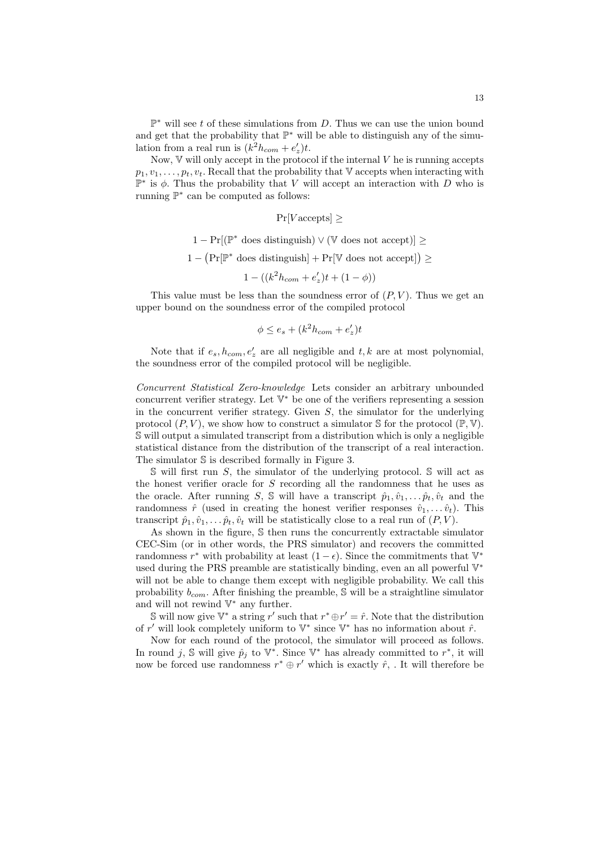$\mathbb{P}^*$  will see t of these simulations from D. Thus we can use the union bound and get that the probability that  $\mathbb{P}^*$  will be able to distinguish any of the simulation from a real run is  $(k^2 h_{com} + e'_z)t$ .

Now,  $V$  will only accept in the protocol if the internal  $V$  he is running accepts  $p_1, v_1, \ldots, p_t, v_t$ . Recall that the probability that V accepts when interacting with  $\mathbb{P}^*$  is  $\phi$ . Thus the probability that V will accept an interaction with D who is running  $\mathbb{P}^*$  can be computed as follows:

 $Pr[V$  accepts $] >$ 

$$
1 - \Pr[(\mathbb{P}^* \text{ does distinguish}) \vee (\mathbb{V} \text{ does not accept})] \ge
$$

1 − ¡  $Pr[\mathbb{P}^* \text{ does distinguish}] + Pr[\mathbb{V} \text{ does not accept}] \ge$ 

 $1 - ((k^2 h_{com} + e'_z)t + (1 - \phi))$ 

This value must be less than the soundness error of  $(P, V)$ . Thus we get an upper bound on the soundness error of the compiled protocol

$$
\phi \le e_s + (k^2 h_{com} + e'_z)t
$$

Note that if  $e_s, h_{com}, e'_z$  are all negligible and  $t, k$  are at most polynomial, the soundness error of the compiled protocol will be negligible.

Concurrent Statistical Zero-knowledge Lets consider an arbitrary unbounded concurrent verifier strategy. Let V <sup>∗</sup> be one of the verifiers representing a session in the concurrent verifier strategy. Given  $S$ , the simulator for the underlying protocol  $(P, V)$ , we show how to construct a simulator S for the protocol  $(\mathbb{P}, \mathbb{V})$ . S will output a simulated transcript from a distribution which is only a negligible statistical distance from the distribution of the transcript of a real interaction. The simulator  $\Im$  is described formally in Figure 3.

S will first run S, the simulator of the underlying protocol. S will act as the honest verifier oracle for  $S$  recording all the randomness that he uses as the oracle. After running S, S will have a transcript  $\hat{p}_1, \hat{v}_1, \dots, \hat{p}_t, \hat{v}_t$  and the randomness  $\hat{r}$  (used in creating the honest verifier responses  $\hat{v}_1, \ldots, \hat{v}_t$ ). This transcript  $\hat{p}_1, \hat{v}_1, \dots, \hat{p}_t, \hat{v}_t$  will be statistically close to a real run of  $(P, V)$ .

As shown in the figure, S then runs the concurrently extractable simulator CEC-Sim (or in other words, the PRS simulator) and recovers the committed randomness  $r^*$  with probability at least  $(1 - \epsilon)$ . Since the commitments that  $\mathbb{V}^*$ used during the PRS preamble are statistically binding, even an all powerful  $V^*$ will not be able to change them except with negligible probability. We call this probability  $b_{com}$ . After finishing the preamble,  $\mathcal S$  will be a straightline simulator and will not rewind  $\mathbb{V}^*$  any further.

S will now give  $\mathbb{V}^*$  a string r' such that  $r^* \oplus r' = \hat{r}$ . Note that the distribution of r' will look completely uniform to  $\mathbb{V}^*$  since  $\mathbb{V}^*$  has no information about  $\hat{r}$ .

Now for each round of the protocol, the simulator will proceed as follows. In round j, S will give  $\hat{p}_j$  to  $\mathbb{V}^*$ . Since  $\mathbb{V}^*$  has already committed to  $r^*$ , it will now be forced use randomness  $r^* \oplus r'$  which is exactly  $\hat{r}$ , . It will therefore be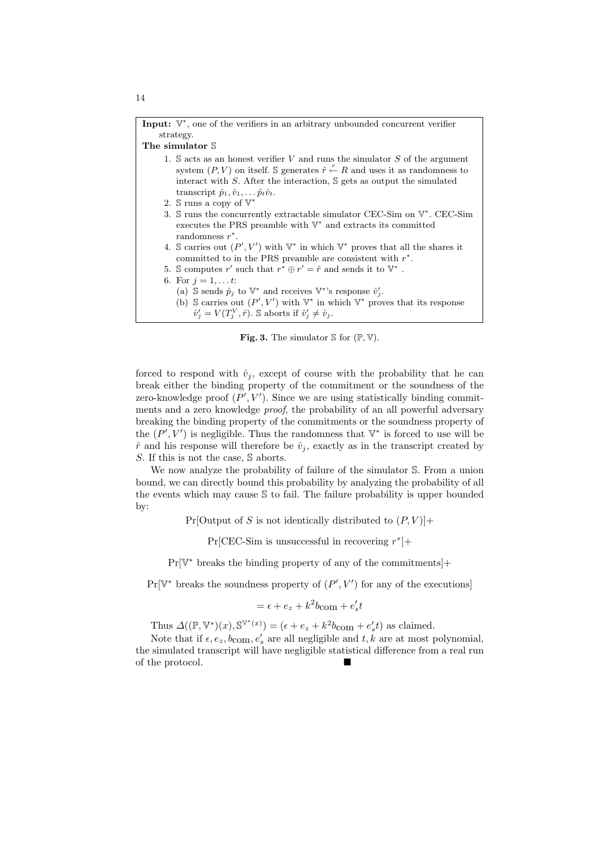| <b>Input:</b> $V^*$ , one of the verifiers in an arbitrary unbounded concurrent verifier                                                                                                                                                                                    |
|-----------------------------------------------------------------------------------------------------------------------------------------------------------------------------------------------------------------------------------------------------------------------------|
| strategy.                                                                                                                                                                                                                                                                   |
| The simulator $\mathbb S$                                                                                                                                                                                                                                                   |
| 1. S acts as an honest verifier V and runs the simulator S of the argument<br>system $(P, V)$ on itself. S generates $\hat{r} \stackrel{r}{\leftarrow} R$ and uses it as randomness to<br>interact with S. After the interaction, $\mathcal S$ gets as output the simulated |
| transcript $\hat{p}_1, \hat{v}_1, \dots \hat{p}_t \hat{v}_t$ .                                                                                                                                                                                                              |
| 2. S runs a copy of $\mathbb{V}^*$                                                                                                                                                                                                                                          |
| 3. S runs the concurrently extractable simulator CEC-Sim on $V^*$ . CEC-Sim<br>executes the PRS preamble with $V^*$ and extracts its committed<br>randomness $r^*$ .                                                                                                        |
| 4. S carries out $(P', V')$ with $V^*$ in which $V^*$ proves that all the shares it<br>committed to in the PRS preamble are consistent with $r^*$ .                                                                                                                         |
| 5. S computes r' such that $r^* \oplus r' = \hat{r}$ and sends it to $\mathbb{V}^*$ .                                                                                                                                                                                       |
| 6. For $i = 1, \ldots t$ :                                                                                                                                                                                                                                                  |
| (a) S sends $\hat{p}_j$ to $\mathbb{V}^*$ and receives $\mathbb{V}^*$ 's response $\hat{v}'_j$ .                                                                                                                                                                            |
| (b) S carries out $(P', V')$ with $V^*$ in which $V^*$ proves that its response                                                                                                                                                                                             |
| $\hat{v}'_i = V(T_i^V, \hat{r})$ . S aborts if $\hat{v}'_i \neq \hat{v}_i$ .                                                                                                                                                                                                |

Fig. 3. The simulator  $\mathcal S$  for  $(\mathbb P, \mathbb V)$ .

forced to respond with  $\hat{v}_i$ , except of course with the probability that he can break either the binding property of the commitment or the soundness of the zero-knowledge proof  $(P', V')$ . Since we are using statistically binding commitments and a zero knowledge proof, the probability of an all powerful adversary breaking the binding property of the commitments or the soundness property of the  $(P', V')$  is negligible. Thus the randomness that  $V^*$  is forced to use will be  $\hat{r}$  and his response will therefore be  $\hat{v}_i$ , exactly as in the transcript created by S. If this is not the case,  $\Im$  aborts.

We now analyze the probability of failure of the simulator S. From a union bound, we can directly bound this probability by analyzing the probability of all the events which may cause S to fail. The failure probability is upper bounded by:

Pr[Output of S is not identically distributed to  $(P, V)$ ]+

 $Pr[CEC-Sim is unsuccessful in recovering r^*]+$ 

 $Pr[\mathbb{V}^*]$  breaks the binding property of any of the commitments $]+$ 

 $Pr[\mathbb{V}^*$  breaks the soundness property of  $(P', V')$  for any of the executions

$$
=\epsilon+e_z+k^2b_{\rm com}+e_s't
$$

Thus  $\Delta((\mathbb{P}, \mathbb{V}^*)(x), \mathbb{S}^{\mathbb{V}^*(x)}) = (\epsilon + e_z + k^2b_{com} + e'_s t)$  as claimed.

Note that if  $\epsilon, e_z, b_{\text{com}}, e'_s$  are all negligible and  $t, k$  are at most polynomial, the simulated transcript will have negligible statistical difference from a real run of the protocol.

14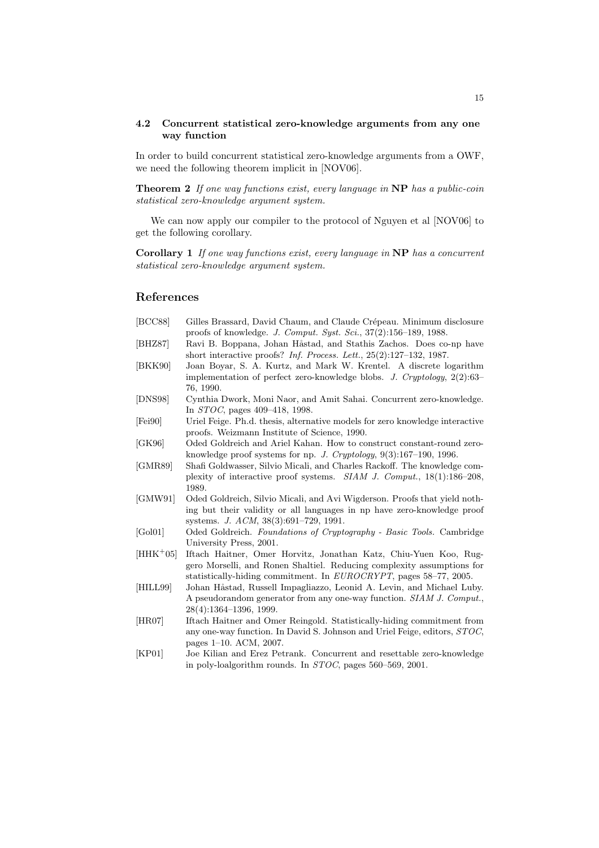## 4.2 Concurrent statistical zero-knowledge arguments from any one way function

In order to build concurrent statistical zero-knowledge arguments from a OWF, we need the following theorem implicit in [NOV06].

Theorem 2 If one way functions exist, every language in NP has a public-coin statistical zero-knowledge argument system.

We can now apply our compiler to the protocol of Nguyen et al [NOV06] to get the following corollary.

Corollary 1 If one way functions exist, every language in NP has a concurrent statistical zero-knowledge argument system.

# References

- [BCC88] Gilles Brassard, David Chaum, and Claude Crépeau. Minimum disclosure proofs of knowledge. J. Comput. Syst. Sci., 37(2):156–189, 1988.
- [BHZ87] Ravi B. Boppana, Johan Håstad, and Stathis Zachos. Does co-np have short interactive proofs? Inf. Process. Lett., 25(2):127–132, 1987.
- [BKK90] Joan Boyar, S. A. Kurtz, and Mark W. Krentel. A discrete logarithm implementation of perfect zero-knowledge blobs. J. Cryptology, 2(2):63– 76, 1990.
- [DNS98] Cynthia Dwork, Moni Naor, and Amit Sahai. Concurrent zero-knowledge. In STOC, pages 409–418, 1998.
- [Fei90] Uriel Feige. Ph.d. thesis, alternative models for zero knowledge interactive proofs. Weizmann Institute of Science, 1990.
- [GK96] Oded Goldreich and Ariel Kahan. How to construct constant-round zeroknowledge proof systems for np. J. Cryptology, 9(3):167–190, 1996.
- [GMR89] Shafi Goldwasser, Silvio Micali, and Charles Rackoff. The knowledge complexity of interactive proof systems. SIAM J. Comput., 18(1):186–208, 1989.
- [GMW91] Oded Goldreich, Silvio Micali, and Avi Wigderson. Proofs that yield nothing but their validity or all languages in np have zero-knowledge proof systems. J. ACM, 38(3):691–729, 1991.
- [Gol01] Oded Goldreich. Foundations of Cryptography Basic Tools. Cambridge University Press, 2001.
- [HHK<sup>+</sup>05] Iftach Haitner, Omer Horvitz, Jonathan Katz, Chiu-Yuen Koo, Ruggero Morselli, and Ronen Shaltiel. Reducing complexity assumptions for statistically-hiding commitment. In EUROCRYPT, pages 58–77, 2005.
- [HILL99] Johan Håstad, Russell Impagliazzo, Leonid A. Levin, and Michael Luby. A pseudorandom generator from any one-way function. SIAM J. Comput., 28(4):1364–1396, 1999.
- [HR07] Iftach Haitner and Omer Reingold. Statistically-hiding commitment from any one-way function. In David S. Johnson and Uriel Feige, editors, STOC, pages 1–10. ACM, 2007.
- [KP01] Joe Kilian and Erez Petrank. Concurrent and resettable zero-knowledge in poly-loalgorithm rounds. In STOC, pages 560–569, 2001.